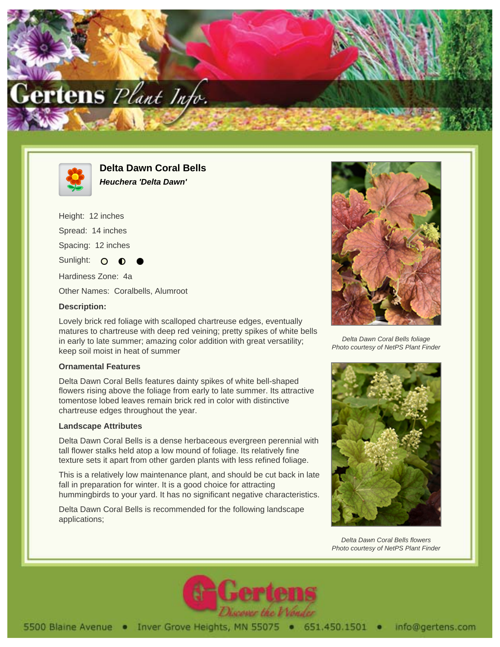



**Delta Dawn Coral Bells Heuchera 'Delta Dawn'**

Height: 12 inches Spread: 14 inches Spacing: 12 inches Sunlight:  $\circ$ Hardiness Zone: 4a Other Names: Coralbells, Alumroot **Description:**

Lovely brick red foliage with scalloped chartreuse edges, eventually matures to chartreuse with deep red veining; pretty spikes of white bells in early to late summer; amazing color addition with great versatility; keep soil moist in heat of summer

## **Ornamental Features**

Delta Dawn Coral Bells features dainty spikes of white bell-shaped flowers rising above the foliage from early to late summer. Its attractive tomentose lobed leaves remain brick red in color with distinctive chartreuse edges throughout the year.

## **Landscape Attributes**

Delta Dawn Coral Bells is a dense herbaceous evergreen perennial with tall flower stalks held atop a low mound of foliage. Its relatively fine texture sets it apart from other garden plants with less refined foliage.

This is a relatively low maintenance plant, and should be cut back in late fall in preparation for winter. It is a good choice for attracting hummingbirds to your yard. It has no significant negative characteristics.

Delta Dawn Coral Bells is recommended for the following landscape applications;



Delta Dawn Coral Bells foliage Photo courtesy of NetPS Plant Finder



Delta Dawn Coral Bells flowers Photo courtesy of NetPS Plant Finder